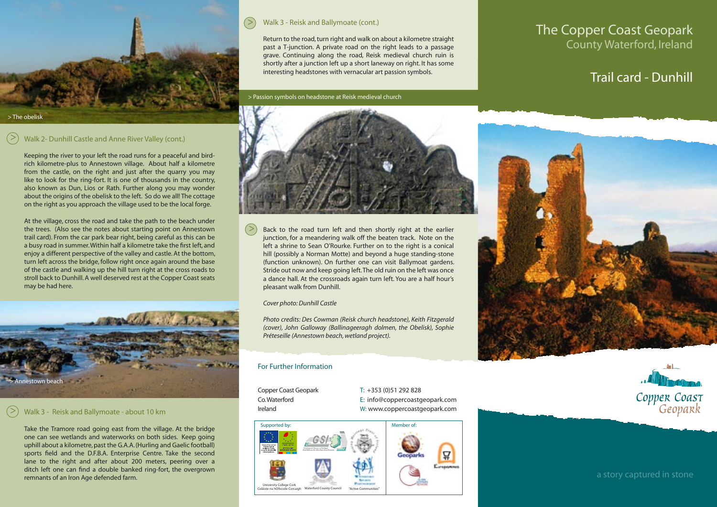

#### Walk 3 - Reisk and Ballymoate (cont.) >

Return to the road, turn right and walk on about a kilometre straight past a T-junction. A private road on the right leads to a passage grave. Continuing along the road, Reisk medieval church ruin is shortly after a junction left up a short laneway on right. It has some interesting headstones with vernacular art passion symbols.

> Passion symbols on headstone at Reisk medieval church

## The Copper Coast Geopark County Waterford, Ireland

# Trail card - Dunhill

#### Walk 2- Dunhill Castle and Anne River Valley (cont.) >

> The obelisk

Keeping the river to your left the road runs for a peaceful and birdrich kilometre-plus to Annestown village. About half a kilometre from the castle, on the right and just after the quarry you may like to look for the ring-fort. It is one of thousands in the country, also known as Dun, Lios or Rath. Further along you may wonder about the origins of the obelisk to the left. So do we all! The cottage on the right as you approach the village used to be the local forge.

At the village, cross the road and take the path to the beach under the trees. (Also see the notes about starting point on Annestown trail card). From the car park bear right, being careful as this can be a busy road in summer. Within half a kilometre take the first left, and enjoy a different perspective of the valley and castle. At the bottom, turn left across the bridge, follow right once again around the base of the castle and walking up the hill turn right at the cross roads to stroll back to Dunhill. A well deserved rest at the Copper Coast seats may be had here.



#### $\geq$ Walk 3 - Reisk and Ballymoate - about 10 km

Take the Tramore road going east from the village. At the bridge one can see wetlands and waterworks on both sides. Keep going uphill about a kilometre, past the G.A.A. (Hurling and Gaelic football) sports field and the D.F.B.A. Enterprise Centre. Take the second lane to the right and after about 200 meters, peering over a ditch left one can find a double banked ring-fort, the overgrown remnants of an Iron Age defended farm.



Back to the road turn left and then shortly right at the earlier junction, for a meandering walk off the beaten track. Note on the left a shrine to Sean O'Rourke. Further on to the right is a conical hill (possibly a Norman Motte) and beyond a huge standing-stone (function unknown). On further one can visit Ballymoat gardens. Stride out now and keep going left. The old ruin on the left was once a dance hall. At the crossroads again turn left. You are a half hour's pleasant walk from Dunhill.  $\geq$ 

*Cover photo: Dunhill Castle*

*Photo credits: Des Cowman (Reisk church headstone), Keith Fitzgerald (cover), John Galloway (Ballinageeragh dolmen, the Obelisk), Sophie Préteseille (Annestown beach, wetland project).*

### For Further Information

Copper Coast Geopark T: +353 (0)51 292 828

Co. Waterford E: info@coppercoastgeopark.com Ireland W: www.coppercoastgeopark.com







a story captured in stone